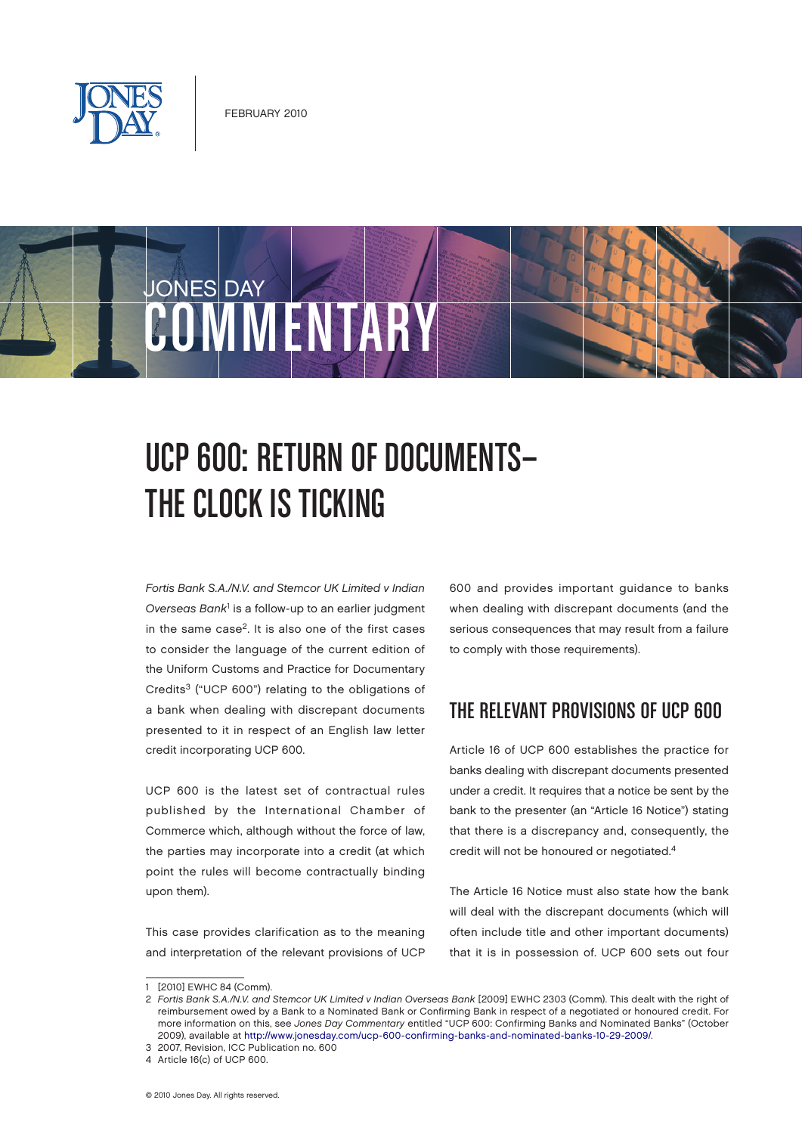

**JONES DAY** 

# ONVIVENTAR

# UCP 600: RETURN OF DOCUMENTS-THE CLOCK IS TICKING

Fortis Bank S.A./N.V. and Stemcor UK Limited v Indian Overseas Bank<sup>1</sup> is a follow-up to an earlier judgment in the same case<sup>2</sup>. It is also one of the first cases to consider the language of the current edition of the Uniform Customs and Practice for Documentary Credits3 ("UCP 600") relating to the obligations of a bank when dealing with discrepant documents presented to it in respect of an English law letter credit incorporating UCP 600.

UCP 600 is the latest set of contractual rules published by the International Chamber of Commerce which, although without the force of law, the parties may incorporate into a credit (at which point the rules will become contractually binding upon them).

This case provides clarification as to the meaning and interpretation of the relevant provisions of UCP 600 and provides important guidance to banks when dealing with discrepant documents (and the serious consequences that may result from a failure to comply with those requirements).

#### THE RELEVANT PROVISIONS OF UCP 600

Article 16 of UCP 600 establishes the practice for banks dealing with discrepant documents presented under a credit. It requires that a notice be sent by the bank to the presenter (an "Article 16 Notice") stating that there is a discrepancy and, consequently, the credit will not be honoured or negotiated.4

The Article 16 Notice must also state how the bank will deal with the discrepant documents (which will often include title and other important documents) that it is in possession of. UCP 600 sets out four

<sup>1</sup> [2010] EWHC 84 (Comm).

<sup>2</sup> Fortis Bank S.A./N.V. and Stemcor UK Limited v Indian Overseas Bank [2009] EWHC 2303 (Comm). This dealt with the right of reimbursement owed by a Bank to a Nominated Bank or Confirming Bank in respect of a negotiated or honoured credit. For more information on this, see Jones Day Commentary entitled "UCP 600: Confirming Banks and Nominated Banks" (October 2009), available at<http://www.jonesday.com/ucp-600-confirming-banks-and-nominated-banks-10-29-2009/>.

<sup>3</sup> 2007, Revision, ICC Publication no. 600

<sup>4</sup> Article 16(c) of UCP 600.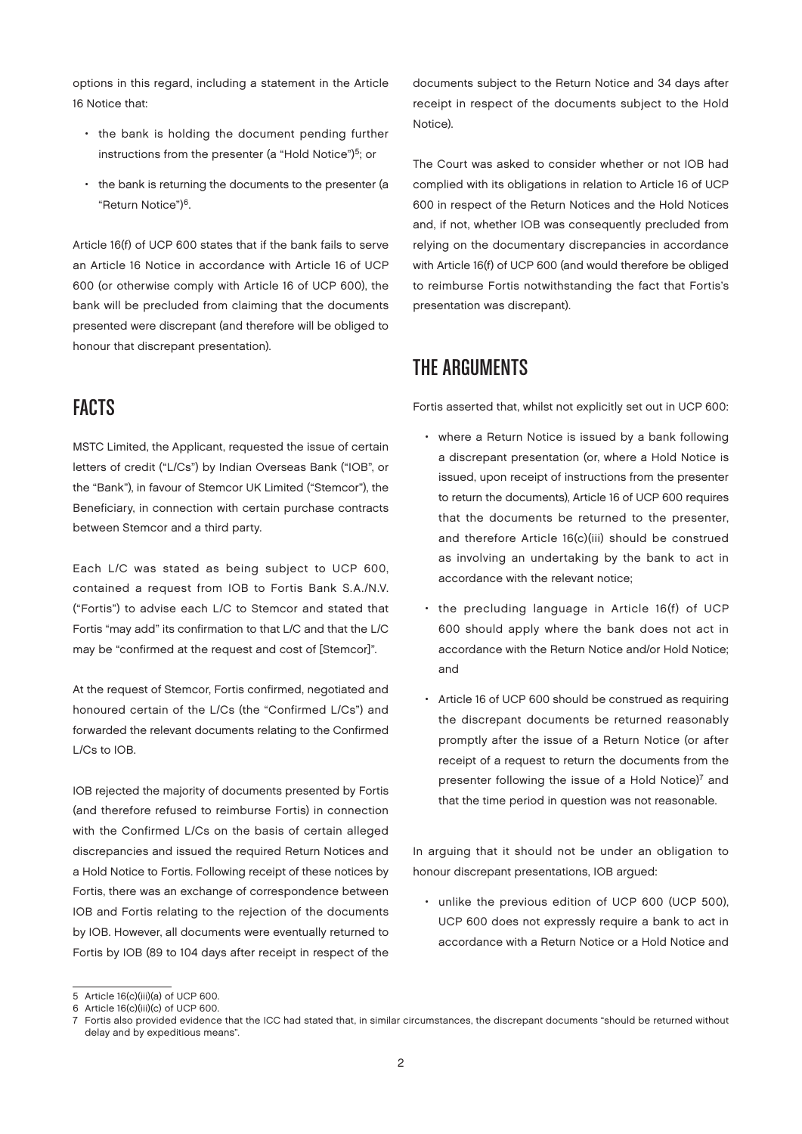options in this regard, including a statement in the Article 16 Notice that:

- the bank is holding the document pending further instructions from the presenter (a "Hold Notice")<sup>5</sup>; or
- the bank is returning the documents to the presenter (a "Return Notice")6.

Article 16(f) of UCP 600 states that if the bank fails to serve an Article 16 Notice in accordance with Article 16 of UCP 600 (or otherwise comply with Article 16 of UCP 600), the bank will be precluded from claiming that the documents presented were discrepant (and therefore will be obliged to honour that discrepant presentation).

### **FACTS**

MSTC Limited, the Applicant, requested the issue of certain letters of credit ("L/Cs") by Indian Overseas Bank ("IOB", or the "Bank"), in favour of Stemcor UK Limited ("Stemcor"), the Beneficiary, in connection with certain purchase contracts between Stemcor and a third party.

Each L/C was stated as being subject to UCP 600, contained a request from IOB to Fortis Bank S.A./N.V. ("Fortis") to advise each L/C to Stemcor and stated that Fortis "may add" its confirmation to that L/C and that the L/C may be "confirmed at the request and cost of [Stemcor]".

At the request of Stemcor, Fortis confirmed, negotiated and honoured certain of the L/Cs (the "Confirmed L/Cs") and forwarded the relevant documents relating to the Confirmed L/Cs to IOB.

IOB rejected the majority of documents presented by Fortis (and therefore refused to reimburse Fortis) in connection with the Confirmed L/Cs on the basis of certain alleged discrepancies and issued the required Return Notices and a Hold Notice to Fortis. Following receipt of these notices by Fortis, there was an exchange of correspondence between IOB and Fortis relating to the rejection of the documents by IOB. However, all documents were eventually returned to Fortis by IOB (89 to 104 days after receipt in respect of the

documents subject to the Return Notice and 34 days after receipt in respect of the documents subject to the Hold Notice).

The Court was asked to consider whether or not IOB had complied with its obligations in relation to Article 16 of UCP 600 in respect of the Return Notices and the Hold Notices and, if not, whether IOB was consequently precluded from relying on the documentary discrepancies in accordance with Article 16(f) of UCP 600 (and would therefore be obliged to reimburse Fortis notwithstanding the fact that Fortis's presentation was discrepant).

## The Arguments

Fortis asserted that, whilst not explicitly set out in UCP 600:

- where a Return Notice is issued by a bank following a discrepant presentation (or, where a Hold Notice is issued, upon receipt of instructions from the presenter to return the documents), Article 16 of UCP 600 requires that the documents be returned to the presenter, and therefore Article 16(c)(iii) should be construed as involving an undertaking by the bank to act in accordance with the relevant notice;
- the precluding language in Article 16(f) of UCP 600 should apply where the bank does not act in accordance with the Return Notice and/or Hold Notice; and
- Article 16 of UCP 600 should be construed as requiring the discrepant documents be returned reasonably promptly after the issue of a Return Notice (or after receipt of a request to return the documents from the presenter following the issue of a Hold Notice)<sup>7</sup> and that the time period in question was not reasonable.

In arguing that it should not be under an obligation to honour discrepant presentations, IOB argued:

• unlike the previous edition of UCP 600 (UCP 500), UCP 600 does not expressly require a bank to act in accordance with a Return Notice or a Hold Notice and

<sup>5</sup> Article 16(c)(iii)(a) of UCP 600.

<sup>6</sup> Article 16(c)(iii)(c) of UCP 600.

<sup>7</sup> Fortis also provided evidence that the ICC had stated that, in similar circumstances, the discrepant documents "should be returned without delay and by expeditious means".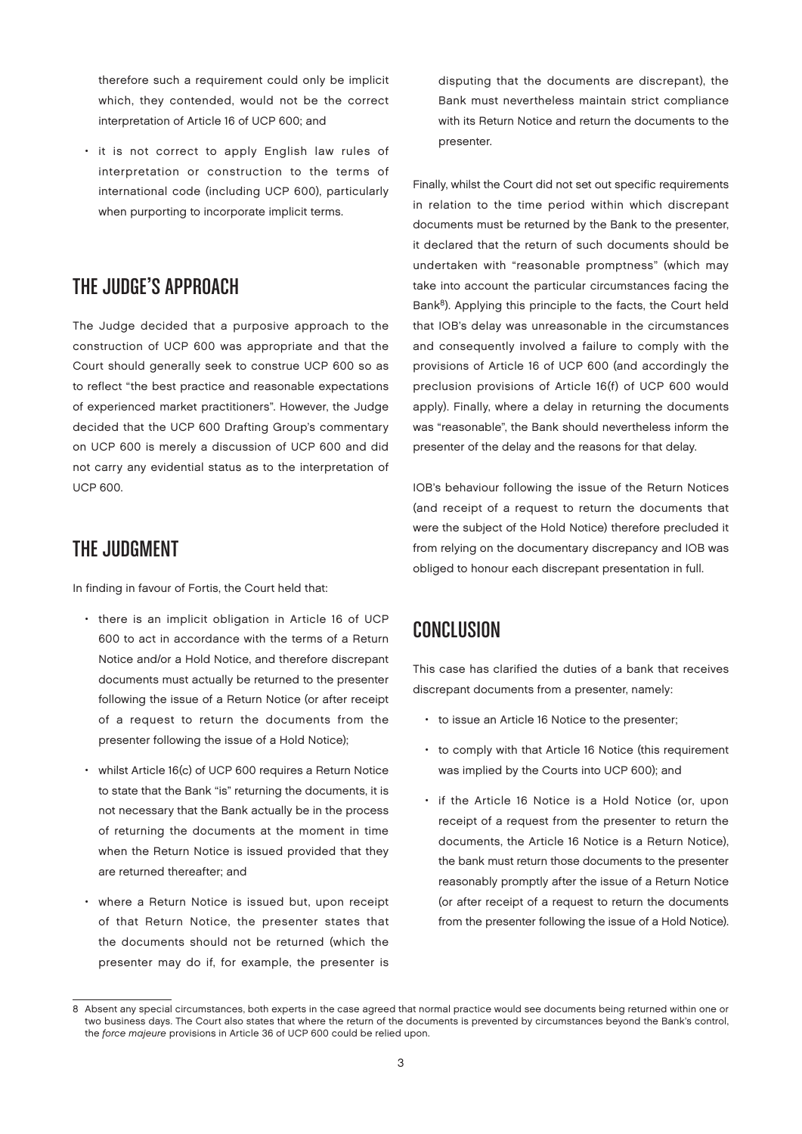therefore such a requirement could only be implicit which, they contended, would not be the correct interpretation of Article 16 of UCP 600; and

it is not correct to apply English law rules of interpretation or construction to the terms of international code (including UCP 600), particularly when purporting to incorporate implicit terms.

#### The Judge's Approach

The Judge decided that a purposive approach to the construction of UCP 600 was appropriate and that the Court should generally seek to construe UCP 600 so as to reflect "the best practice and reasonable expectations of experienced market practitioners". However, the Judge decided that the UCP 600 Drafting Group's commentary on UCP 600 is merely a discussion of UCP 600 and did not carry any evidential status as to the interpretation of UCP 600.

# The Judgment

In finding in favour of Fortis, the Court held that:

- there is an implicit obligation in Article 16 of UCP 600 to act in accordance with the terms of a Return Notice and/or a Hold Notice, and therefore discrepant documents must actually be returned to the presenter following the issue of a Return Notice (or after receipt of a request to return the documents from the presenter following the issue of a Hold Notice);
- whilst Article 16(c) of UCP 600 requires a Return Notice to state that the Bank "is" returning the documents, it is not necessary that the Bank actually be in the process of returning the documents at the moment in time when the Return Notice is issued provided that they are returned thereafter; and
- where a Return Notice is issued but, upon receipt of that Return Notice, the presenter states that the documents should not be returned (which the presenter may do if, for example, the presenter is

disputing that the documents are discrepant), the Bank must nevertheless maintain strict compliance with its Return Notice and return the documents to the presenter.

Finally, whilst the Court did not set out specific requirements in relation to the time period within which discrepant documents must be returned by the Bank to the presenter, it declared that the return of such documents should be undertaken with "reasonable promptness" (which may take into account the particular circumstances facing the Bank<sup>8</sup>). Applying this principle to the facts, the Court held that IOB's delay was unreasonable in the circumstances and consequently involved a failure to comply with the provisions of Article 16 of UCP 600 (and accordingly the preclusion provisions of Article 16(f) of UCP 600 would apply). Finally, where a delay in returning the documents was "reasonable", the Bank should nevertheless inform the presenter of the delay and the reasons for that delay.

IOB's behaviour following the issue of the Return Notices (and receipt of a request to return the documents that were the subject of the Hold Notice) therefore precluded it from relying on the documentary discrepancy and IOB was obliged to honour each discrepant presentation in full.

#### Conclusion

This case has clarified the duties of a bank that receives discrepant documents from a presenter, namely:

- to issue an Article 16 Notice to the presenter;
- to comply with that Article 16 Notice (this requirement was implied by the Courts into UCP 600); and
- if the Article 16 Notice is a Hold Notice (or, upon receipt of a request from the presenter to return the documents, the Article 16 Notice is a Return Notice), the bank must return those documents to the presenter reasonably promptly after the issue of a Return Notice (or after receipt of a request to return the documents from the presenter following the issue of a Hold Notice).

<sup>8</sup> Absent any special circumstances, both experts in the case agreed that normal practice would see documents being returned within one or two business days. The Court also states that where the return of the documents is prevented by circumstances beyond the Bank's control, the force majeure provisions in Article 36 of UCP 600 could be relied upon.